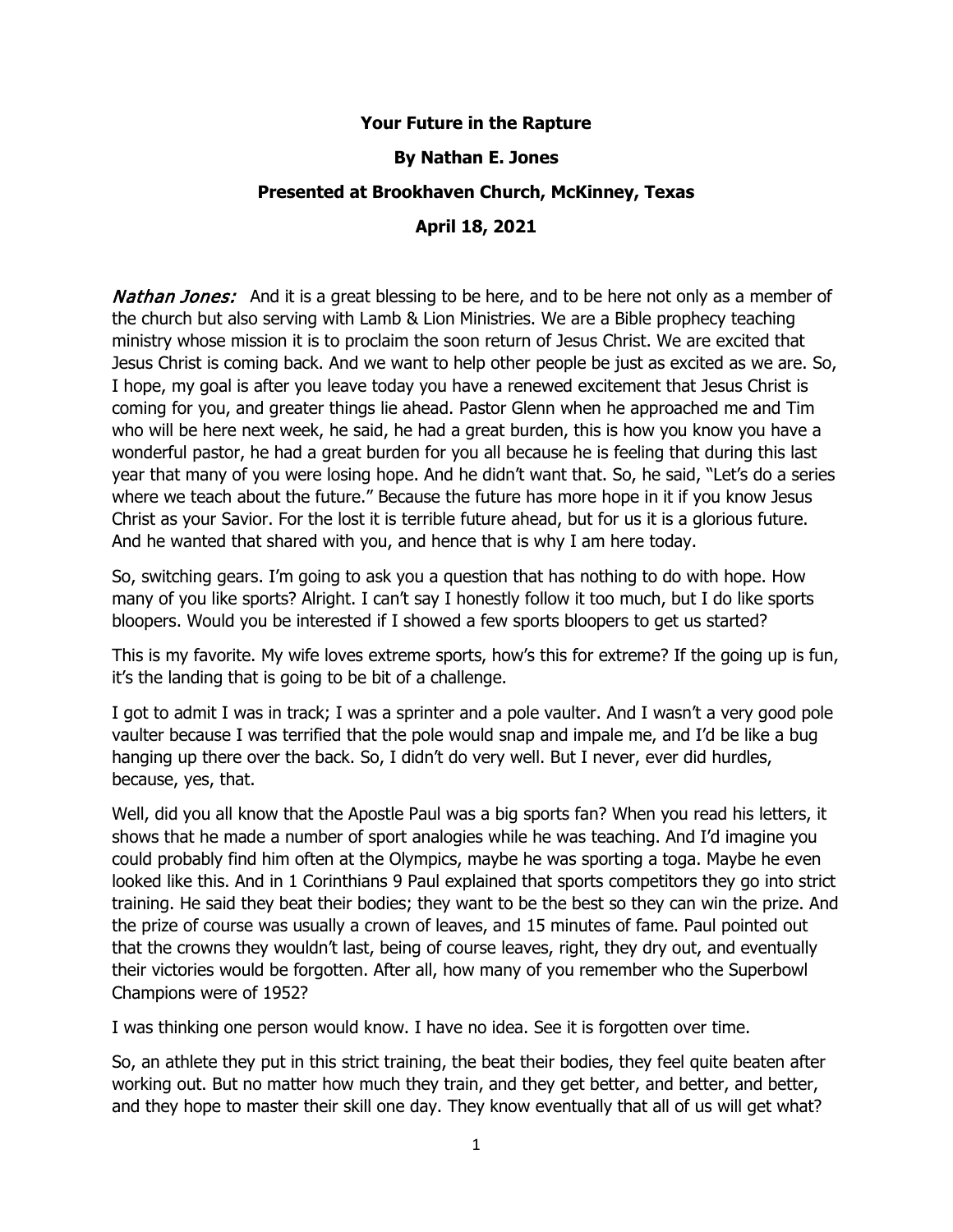## **Your Future in the Rapture**

## **By Nathan E. Jones**

## **Presented at Brookhaven Church, McKinney, Texas**

# **April 18, 2021**

**Nathan Jones:** And it is a great blessing to be here, and to be here not only as a member of the church but also serving with Lamb & Lion Ministries. We are a Bible prophecy teaching ministry whose mission it is to proclaim the soon return of Jesus Christ. We are excited that Jesus Christ is coming back. And we want to help other people be just as excited as we are. So, I hope, my goal is after you leave today you have a renewed excitement that Jesus Christ is coming for you, and greater things lie ahead. Pastor Glenn when he approached me and Tim who will be here next week, he said, he had a great burden, this is how you know you have a wonderful pastor, he had a great burden for you all because he is feeling that during this last year that many of you were losing hope. And he didn't want that. So, he said, "Let's do a series where we teach about the future." Because the future has more hope in it if you know Jesus Christ as your Savior. For the lost it is terrible future ahead, but for us it is a glorious future. And he wanted that shared with you, and hence that is why I am here today.

So, switching gears. I'm going to ask you a question that has nothing to do with hope. How many of you like sports? Alright. I can't say I honestly follow it too much, but I do like sports bloopers. Would you be interested if I showed a few sports bloopers to get us started?

This is my favorite. My wife loves extreme sports, how's this for extreme? If the going up is fun, it's the landing that is going to be bit of a challenge.

I got to admit I was in track; I was a sprinter and a pole vaulter. And I wasn't a very good pole vaulter because I was terrified that the pole would snap and impale me, and I'd be like a bug hanging up there over the back. So, I didn't do very well. But I never, ever did hurdles, because, yes, that.

Well, did you all know that the Apostle Paul was a big sports fan? When you read his letters, it shows that he made a number of sport analogies while he was teaching. And I'd imagine you could probably find him often at the Olympics, maybe he was sporting a toga. Maybe he even looked like this. And in 1 Corinthians 9 Paul explained that sports competitors they go into strict training. He said they beat their bodies; they want to be the best so they can win the prize. And the prize of course was usually a crown of leaves, and 15 minutes of fame. Paul pointed out that the crowns they wouldn't last, being of course leaves, right, they dry out, and eventually their victories would be forgotten. After all, how many of you remember who the Superbowl Champions were of 1952?

I was thinking one person would know. I have no idea. See it is forgotten over time.

So, an athlete they put in this strict training, the beat their bodies, they feel quite beaten after working out. But no matter how much they train, and they get better, and better, and better, and they hope to master their skill one day. They know eventually that all of us will get what?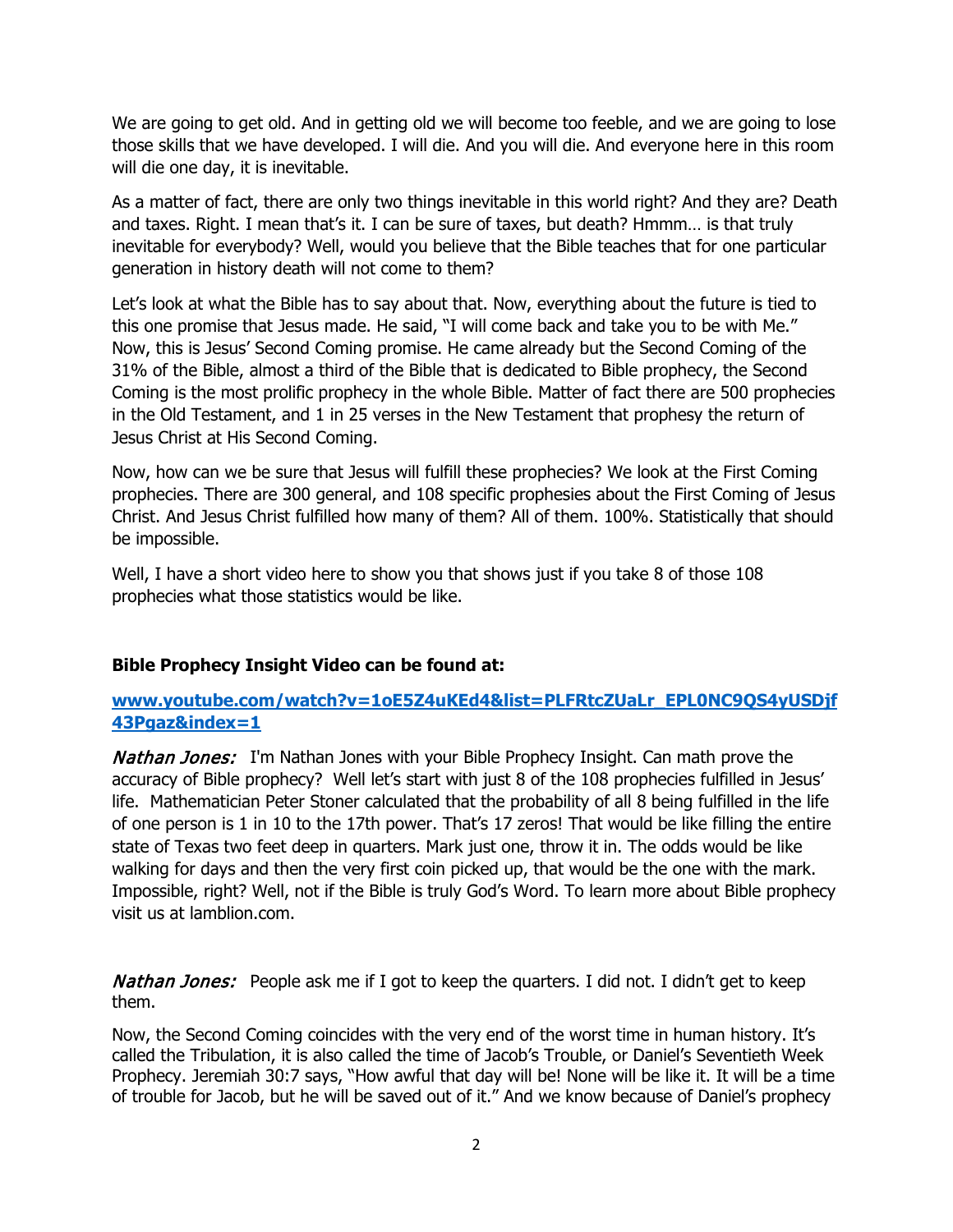We are going to get old. And in getting old we will become too feeble, and we are going to lose those skills that we have developed. I will die. And you will die. And everyone here in this room will die one day, it is inevitable.

As a matter of fact, there are only two things inevitable in this world right? And they are? Death and taxes. Right. I mean that's it. I can be sure of taxes, but death? Hmmm… is that truly inevitable for everybody? Well, would you believe that the Bible teaches that for one particular generation in history death will not come to them?

Let's look at what the Bible has to say about that. Now, everything about the future is tied to this one promise that Jesus made. He said, "I will come back and take you to be with Me." Now, this is Jesus' Second Coming promise. He came already but the Second Coming of the 31% of the Bible, almost a third of the Bible that is dedicated to Bible prophecy, the Second Coming is the most prolific prophecy in the whole Bible. Matter of fact there are 500 prophecies in the Old Testament, and 1 in 25 verses in the New Testament that prophesy the return of Jesus Christ at His Second Coming.

Now, how can we be sure that Jesus will fulfill these prophecies? We look at the First Coming prophecies. There are 300 general, and 108 specific prophesies about the First Coming of Jesus Christ. And Jesus Christ fulfilled how many of them? All of them. 100%. Statistically that should be impossible.

Well, I have a short video here to show you that shows just if you take 8 of those 108 prophecies what those statistics would be like.

# **Bible Prophecy Insight Video can be found at:**

**[www.youtube.com/watch?v=1oE5Z4uKEd4&list=PLFRtcZUaLr\\_EPL0NC9QS4yUSDjf](http://www.youtube.com/watch?v=1oE5Z4uKEd4&list=PLFRtcZUaLr_EPL0NC9QS4yUSDjf43Pgaz&index=1) [43Pgaz&index=1](http://www.youtube.com/watch?v=1oE5Z4uKEd4&list=PLFRtcZUaLr_EPL0NC9QS4yUSDjf43Pgaz&index=1)**

**Nathan Jones:** I'm Nathan Jones with your Bible Prophecy Insight. Can math prove the accuracy of Bible prophecy? Well let's start with just 8 of the 108 prophecies fulfilled in Jesus' life. Mathematician Peter Stoner calculated that the probability of all 8 being fulfilled in the life of one person is 1 in 10 to the 17th power. That's 17 zeros! That would be like filling the entire state of Texas two feet deep in quarters. Mark just one, throw it in. The odds would be like walking for days and then the very first coin picked up, that would be the one with the mark. Impossible, right? Well, not if the Bible is truly God's Word. To learn more about Bible prophecy visit us at lamblion.com.

**Nathan Jones:** People ask me if I got to keep the quarters. I did not. I didn't get to keep them.

Now, the Second Coming coincides with the very end of the worst time in human history. It's called the Tribulation, it is also called the time of Jacob's Trouble, or Daniel's Seventieth Week Prophecy. Jeremiah 30:7 says, "How awful that day will be! None will be like it. It will be a time of trouble for Jacob, but he will be saved out of it." And we know because of Daniel's prophecy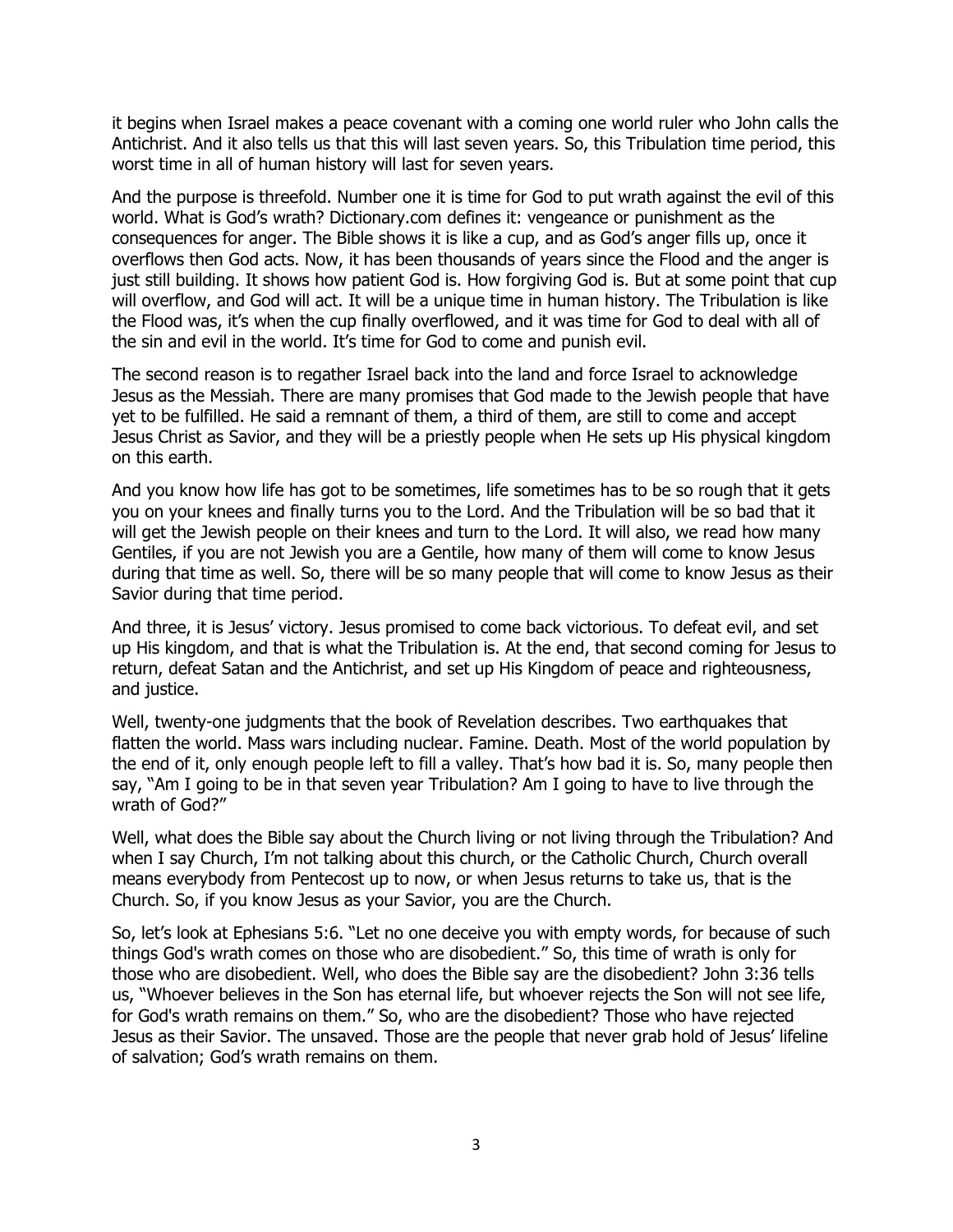it begins when Israel makes a peace covenant with a coming one world ruler who John calls the Antichrist. And it also tells us that this will last seven years. So, this Tribulation time period, this worst time in all of human history will last for seven years.

And the purpose is threefold. Number one it is time for God to put wrath against the evil of this world. What is God's wrath? Dictionary.com defines it: vengeance or punishment as the consequences for anger. The Bible shows it is like a cup, and as God's anger fills up, once it overflows then God acts. Now, it has been thousands of years since the Flood and the anger is just still building. It shows how patient God is. How forgiving God is. But at some point that cup will overflow, and God will act. It will be a unique time in human history. The Tribulation is like the Flood was, it's when the cup finally overflowed, and it was time for God to deal with all of the sin and evil in the world. It's time for God to come and punish evil.

The second reason is to regather Israel back into the land and force Israel to acknowledge Jesus as the Messiah. There are many promises that God made to the Jewish people that have yet to be fulfilled. He said a remnant of them, a third of them, are still to come and accept Jesus Christ as Savior, and they will be a priestly people when He sets up His physical kingdom on this earth.

And you know how life has got to be sometimes, life sometimes has to be so rough that it gets you on your knees and finally turns you to the Lord. And the Tribulation will be so bad that it will get the Jewish people on their knees and turn to the Lord. It will also, we read how many Gentiles, if you are not Jewish you are a Gentile, how many of them will come to know Jesus during that time as well. So, there will be so many people that will come to know Jesus as their Savior during that time period.

And three, it is Jesus' victory. Jesus promised to come back victorious. To defeat evil, and set up His kingdom, and that is what the Tribulation is. At the end, that second coming for Jesus to return, defeat Satan and the Antichrist, and set up His Kingdom of peace and righteousness, and justice.

Well, twenty-one judgments that the book of Revelation describes. Two earthquakes that flatten the world. Mass wars including nuclear. Famine. Death. Most of the world population by the end of it, only enough people left to fill a valley. That's how bad it is. So, many people then say, "Am I going to be in that seven year Tribulation? Am I going to have to live through the wrath of God?"

Well, what does the Bible say about the Church living or not living through the Tribulation? And when I say Church, I'm not talking about this church, or the Catholic Church, Church overall means everybody from Pentecost up to now, or when Jesus returns to take us, that is the Church. So, if you know Jesus as your Savior, you are the Church.

So, let's look at Ephesians 5:6. "Let no one deceive you with empty words, for because of such things God's wrath comes on those who are disobedient." So, this time of wrath is only for those who are disobedient. Well, who does the Bible say are the disobedient? John 3:36 tells us, "Whoever believes in the Son has eternal life, but whoever rejects the Son will not see life, for God's wrath remains on them." So, who are the disobedient? Those who have rejected Jesus as their Savior. The unsaved. Those are the people that never grab hold of Jesus' lifeline of salvation; God's wrath remains on them.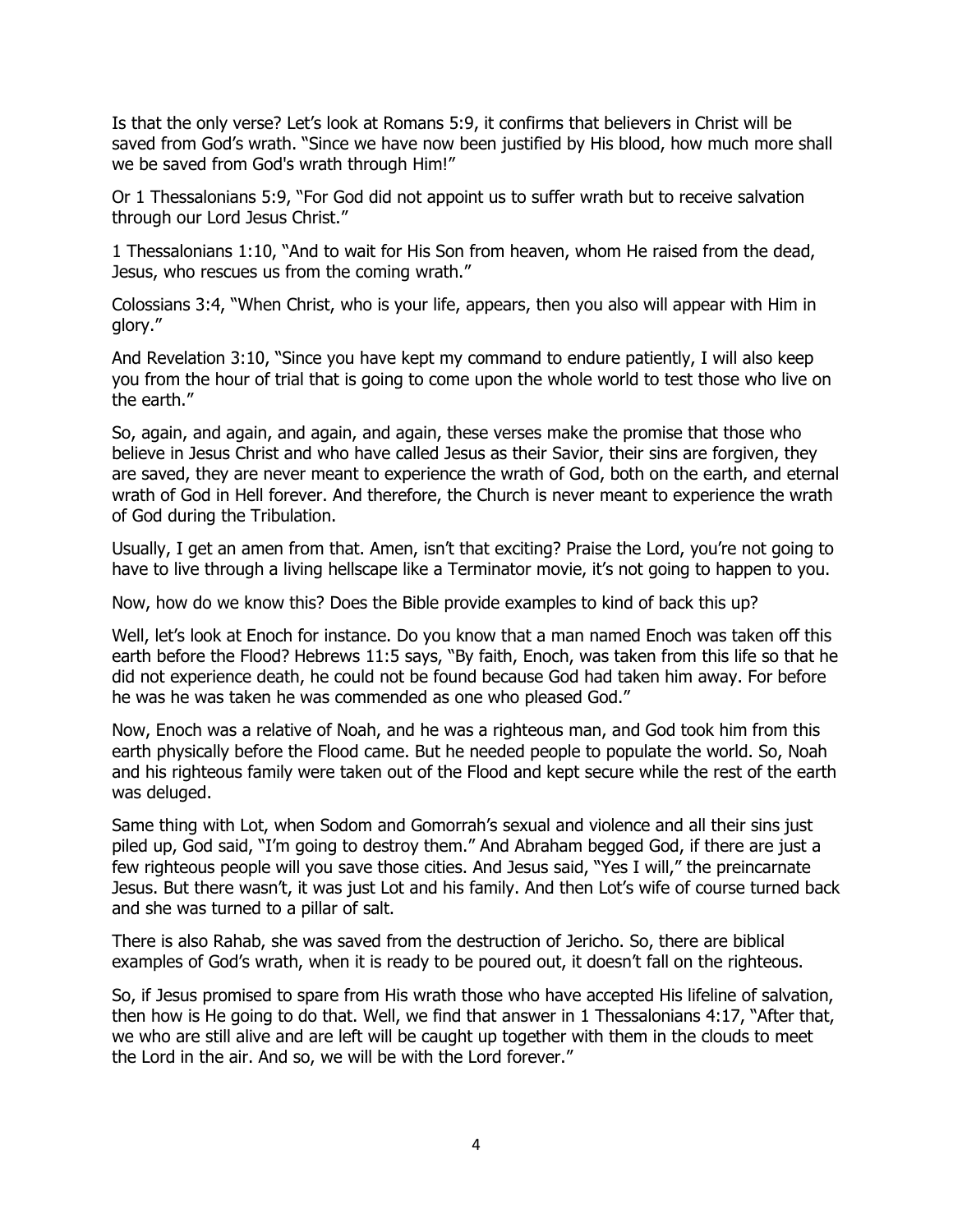Is that the only verse? Let's look at Romans 5:9, it confirms that believers in Christ will be saved from God's wrath. "Since we have now been justified by His blood, how much more shall we be saved from God's wrath through Him!"

Or 1 Thessalonians 5:9, "For God did not appoint us to suffer wrath but to receive salvation through our Lord Jesus Christ."

1 Thessalonians 1:10, "And to wait for His Son from heaven, whom He raised from the dead, Jesus, who rescues us from the coming wrath."

Colossians 3:4, "When Christ, who is your life, appears, then you also will appear with Him in glory."

And Revelation 3:10, "Since you have kept my command to endure patiently, I will also keep you from the hour of trial that is going to come upon the whole world to test those who live on the earth."

So, again, and again, and again, and again, these verses make the promise that those who believe in Jesus Christ and who have called Jesus as their Savior, their sins are forgiven, they are saved, they are never meant to experience the wrath of God, both on the earth, and eternal wrath of God in Hell forever. And therefore, the Church is never meant to experience the wrath of God during the Tribulation.

Usually, I get an amen from that. Amen, isn't that exciting? Praise the Lord, you're not going to have to live through a living hellscape like a Terminator movie, it's not going to happen to you.

Now, how do we know this? Does the Bible provide examples to kind of back this up?

Well, let's look at Enoch for instance. Do you know that a man named Enoch was taken off this earth before the Flood? Hebrews 11:5 says, "By faith, Enoch, was taken from this life so that he did not experience death, he could not be found because God had taken him away. For before he was he was taken he was commended as one who pleased God."

Now, Enoch was a relative of Noah, and he was a righteous man, and God took him from this earth physically before the Flood came. But he needed people to populate the world. So, Noah and his righteous family were taken out of the Flood and kept secure while the rest of the earth was deluged.

Same thing with Lot, when Sodom and Gomorrah's sexual and violence and all their sins just piled up, God said, "I'm going to destroy them." And Abraham begged God, if there are just a few righteous people will you save those cities. And Jesus said, "Yes I will," the preincarnate Jesus. But there wasn't, it was just Lot and his family. And then Lot's wife of course turned back and she was turned to a pillar of salt.

There is also Rahab, she was saved from the destruction of Jericho. So, there are biblical examples of God's wrath, when it is ready to be poured out, it doesn't fall on the righteous.

So, if Jesus promised to spare from His wrath those who have accepted His lifeline of salvation, then how is He going to do that. Well, we find that answer in 1 Thessalonians 4:17, "After that, we who are still alive and are left will be caught up together with them in the clouds to meet the Lord in the air. And so, we will be with the Lord forever."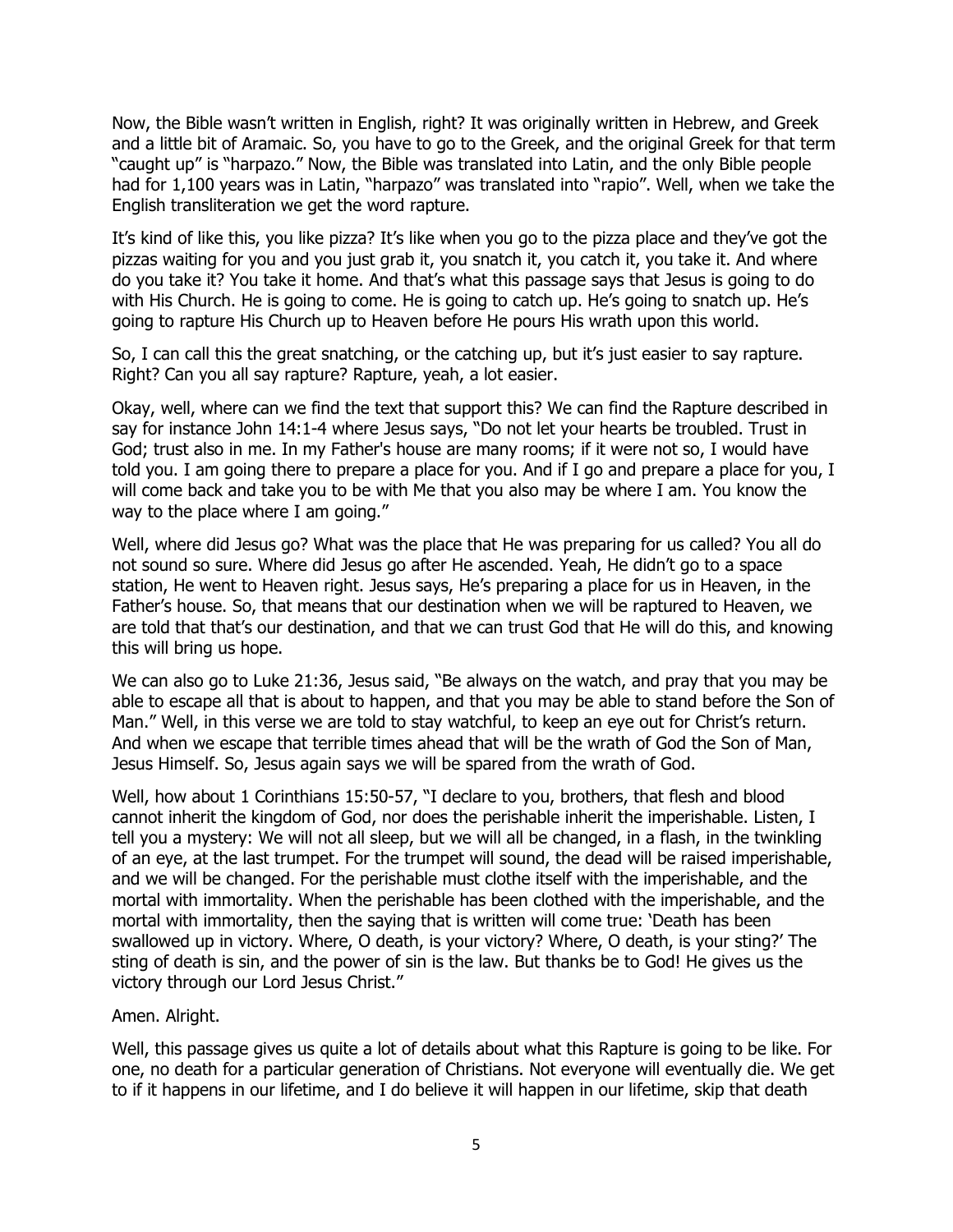Now, the Bible wasn't written in English, right? It was originally written in Hebrew, and Greek and a little bit of Aramaic. So, you have to go to the Greek, and the original Greek for that term "caught up" is "harpazo." Now, the Bible was translated into Latin, and the only Bible people had for 1,100 years was in Latin, "harpazo" was translated into "rapio". Well, when we take the English transliteration we get the word rapture.

It's kind of like this, you like pizza? It's like when you go to the pizza place and they've got the pizzas waiting for you and you just grab it, you snatch it, you catch it, you take it. And where do you take it? You take it home. And that's what this passage says that Jesus is going to do with His Church. He is going to come. He is going to catch up. He's going to snatch up. He's going to rapture His Church up to Heaven before He pours His wrath upon this world.

So, I can call this the great snatching, or the catching up, but it's just easier to say rapture. Right? Can you all say rapture? Rapture, yeah, a lot easier.

Okay, well, where can we find the text that support this? We can find the Rapture described in say for instance John 14:1-4 where Jesus says, "Do not let your hearts be troubled. Trust in God; trust also in me. In my Father's house are many rooms; if it were not so, I would have told you. I am going there to prepare a place for you. And if I go and prepare a place for you, I will come back and take you to be with Me that you also may be where I am. You know the way to the place where I am going."

Well, where did Jesus go? What was the place that He was preparing for us called? You all do not sound so sure. Where did Jesus go after He ascended. Yeah, He didn't go to a space station, He went to Heaven right. Jesus says, He's preparing a place for us in Heaven, in the Father's house. So, that means that our destination when we will be raptured to Heaven, we are told that that's our destination, and that we can trust God that He will do this, and knowing this will bring us hope.

We can also go to Luke 21:36, Jesus said, "Be always on the watch, and pray that you may be able to escape all that is about to happen, and that you may be able to stand before the Son of Man." Well, in this verse we are told to stay watchful, to keep an eye out for Christ's return. And when we escape that terrible times ahead that will be the wrath of God the Son of Man, Jesus Himself. So, Jesus again says we will be spared from the wrath of God.

Well, how about 1 Corinthians 15:50-57, "I declare to you, brothers, that flesh and blood cannot inherit the kingdom of God, nor does the perishable inherit the imperishable. Listen, I tell you a mystery: We will not all sleep, but we will all be changed, in a flash, in the twinkling of an eye, at the last trumpet. For the trumpet will sound, the dead will be raised imperishable, and we will be changed. For the perishable must clothe itself with the imperishable, and the mortal with immortality. When the perishable has been clothed with the imperishable, and the mortal with immortality, then the saying that is written will come true: 'Death has been swallowed up in victory. Where, O death, is your victory? Where, O death, is your sting?' The sting of death is sin, and the power of sin is the law. But thanks be to God! He gives us the victory through our Lord Jesus Christ."

#### Amen. Alright.

Well, this passage gives us quite a lot of details about what this Rapture is going to be like. For one, no death for a particular generation of Christians. Not everyone will eventually die. We get to if it happens in our lifetime, and I do believe it will happen in our lifetime, skip that death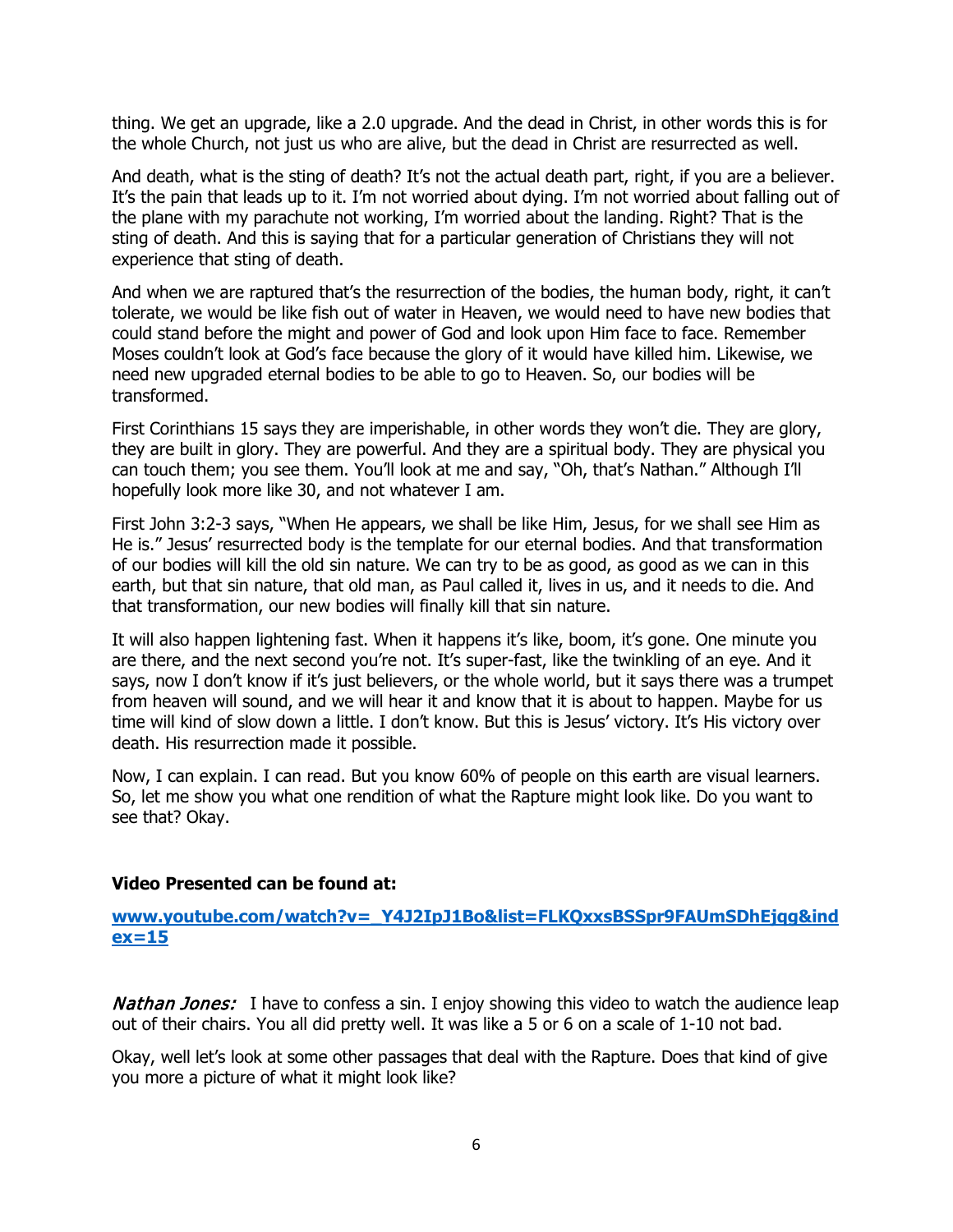thing. We get an upgrade, like a 2.0 upgrade. And the dead in Christ, in other words this is for the whole Church, not just us who are alive, but the dead in Christ are resurrected as well.

And death, what is the sting of death? It's not the actual death part, right, if you are a believer. It's the pain that leads up to it. I'm not worried about dying. I'm not worried about falling out of the plane with my parachute not working, I'm worried about the landing. Right? That is the sting of death. And this is saying that for a particular generation of Christians they will not experience that sting of death.

And when we are raptured that's the resurrection of the bodies, the human body, right, it can't tolerate, we would be like fish out of water in Heaven, we would need to have new bodies that could stand before the might and power of God and look upon Him face to face. Remember Moses couldn't look at God's face because the glory of it would have killed him. Likewise, we need new upgraded eternal bodies to be able to go to Heaven. So, our bodies will be transformed.

First Corinthians 15 says they are imperishable, in other words they won't die. They are glory, they are built in glory. They are powerful. And they are a spiritual body. They are physical you can touch them; you see them. You'll look at me and say, "Oh, that's Nathan." Although I'll hopefully look more like 30, and not whatever I am.

First John 3:2-3 says, "When He appears, we shall be like Him, Jesus, for we shall see Him as He is." Jesus' resurrected body is the template for our eternal bodies. And that transformation of our bodies will kill the old sin nature. We can try to be as good, as good as we can in this earth, but that sin nature, that old man, as Paul called it, lives in us, and it needs to die. And that transformation, our new bodies will finally kill that sin nature.

It will also happen lightening fast. When it happens it's like, boom, it's gone. One minute you are there, and the next second you're not. It's super-fast, like the twinkling of an eye. And it says, now I don't know if it's just believers, or the whole world, but it says there was a trumpet from heaven will sound, and we will hear it and know that it is about to happen. Maybe for us time will kind of slow down a little. I don't know. But this is Jesus' victory. It's His victory over death. His resurrection made it possible.

Now, I can explain. I can read. But you know 60% of people on this earth are visual learners. So, let me show you what one rendition of what the Rapture might look like. Do you want to see that? Okay.

#### **Video Presented can be found at:**

**[www.youtube.com/watch?v=\\_Y4J2IpJ1Bo&list=FLKQxxsBSSpr9FAUmSDhEjqg&ind](http://www.youtube.com/watch?v=_Y4J2IpJ1Bo&list=FLKQxxsBSSpr9FAUmSDhEjqg&index=15) [ex=15](http://www.youtube.com/watch?v=_Y4J2IpJ1Bo&list=FLKQxxsBSSpr9FAUmSDhEjqg&index=15)**

**Nathan Jones:** I have to confess a sin. I enjoy showing this video to watch the audience leap out of their chairs. You all did pretty well. It was like a 5 or 6 on a scale of 1-10 not bad.

Okay, well let's look at some other passages that deal with the Rapture. Does that kind of give you more a picture of what it might look like?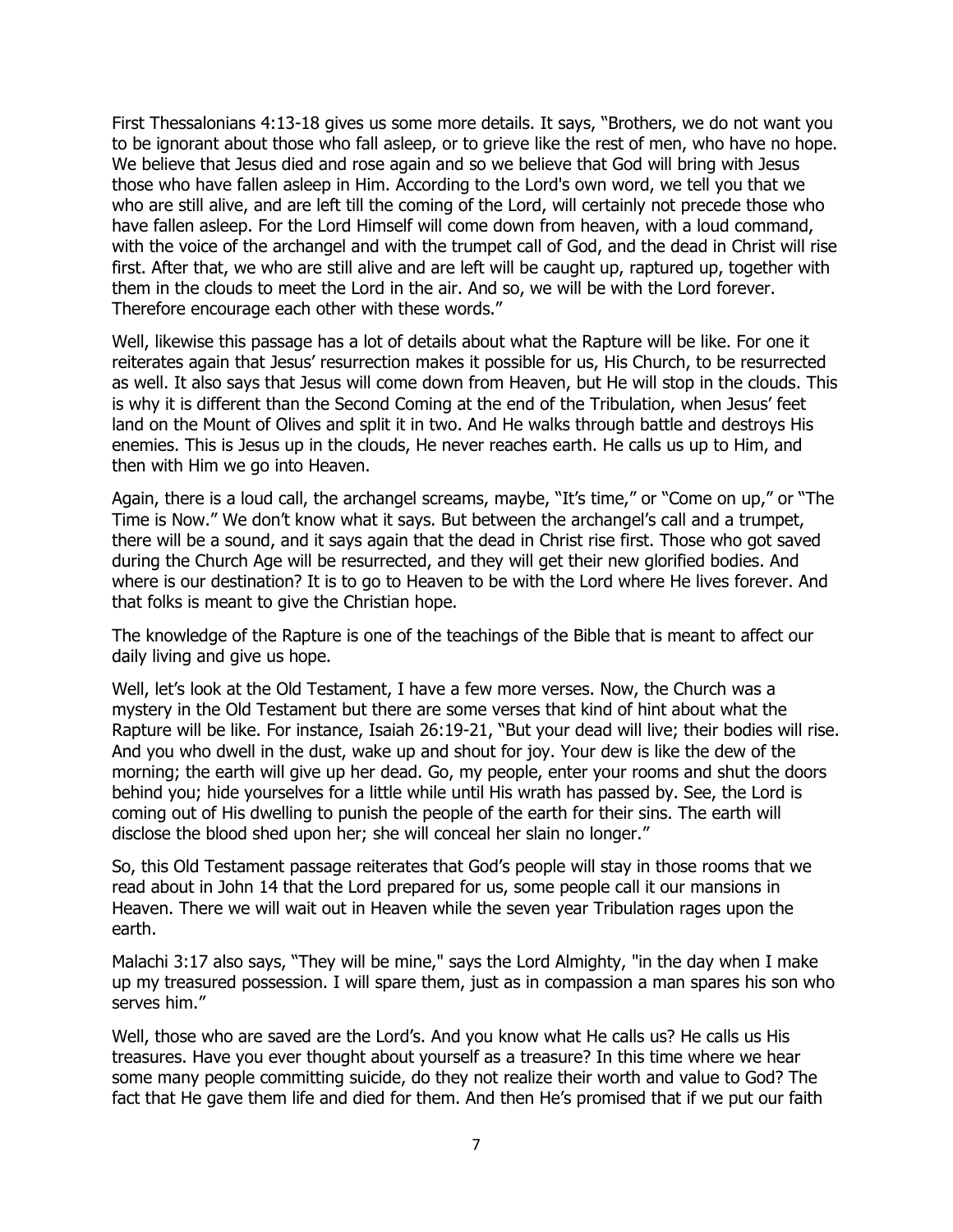First Thessalonians 4:13-18 gives us some more details. It says, "Brothers, we do not want you to be ignorant about those who fall asleep, or to grieve like the rest of men, who have no hope. We believe that Jesus died and rose again and so we believe that God will bring with Jesus those who have fallen asleep in Him. According to the Lord's own word, we tell you that we who are still alive, and are left till the coming of the Lord, will certainly not precede those who have fallen asleep. For the Lord Himself will come down from heaven, with a loud command, with the voice of the archangel and with the trumpet call of God, and the dead in Christ will rise first. After that, we who are still alive and are left will be caught up, raptured up, together with them in the clouds to meet the Lord in the air. And so, we will be with the Lord forever. Therefore encourage each other with these words."

Well, likewise this passage has a lot of details about what the Rapture will be like. For one it reiterates again that Jesus' resurrection makes it possible for us, His Church, to be resurrected as well. It also says that Jesus will come down from Heaven, but He will stop in the clouds. This is why it is different than the Second Coming at the end of the Tribulation, when Jesus' feet land on the Mount of Olives and split it in two. And He walks through battle and destroys His enemies. This is Jesus up in the clouds, He never reaches earth. He calls us up to Him, and then with Him we go into Heaven.

Again, there is a loud call, the archangel screams, maybe, "It's time," or "Come on up," or "The Time is Now." We don't know what it says. But between the archangel's call and a trumpet, there will be a sound, and it says again that the dead in Christ rise first. Those who got saved during the Church Age will be resurrected, and they will get their new glorified bodies. And where is our destination? It is to go to Heaven to be with the Lord where He lives forever. And that folks is meant to give the Christian hope.

The knowledge of the Rapture is one of the teachings of the Bible that is meant to affect our daily living and give us hope.

Well, let's look at the Old Testament, I have a few more verses. Now, the Church was a mystery in the Old Testament but there are some verses that kind of hint about what the Rapture will be like. For instance, Isaiah 26:19-21, "But your dead will live; their bodies will rise. And you who dwell in the dust, wake up and shout for joy. Your dew is like the dew of the morning; the earth will give up her dead. Go, my people, enter your rooms and shut the doors behind you; hide yourselves for a little while until His wrath has passed by. See, the Lord is coming out of His dwelling to punish the people of the earth for their sins. The earth will disclose the blood shed upon her; she will conceal her slain no longer."

So, this Old Testament passage reiterates that God's people will stay in those rooms that we read about in John 14 that the Lord prepared for us, some people call it our mansions in Heaven. There we will wait out in Heaven while the seven year Tribulation rages upon the earth.

Malachi 3:17 also says, "They will be mine," says the Lord Almighty, "in the day when I make up my treasured possession. I will spare them, just as in compassion a man spares his son who serves him."

Well, those who are saved are the Lord's. And you know what He calls us? He calls us His treasures. Have you ever thought about yourself as a treasure? In this time where we hear some many people committing suicide, do they not realize their worth and value to God? The fact that He gave them life and died for them. And then He's promised that if we put our faith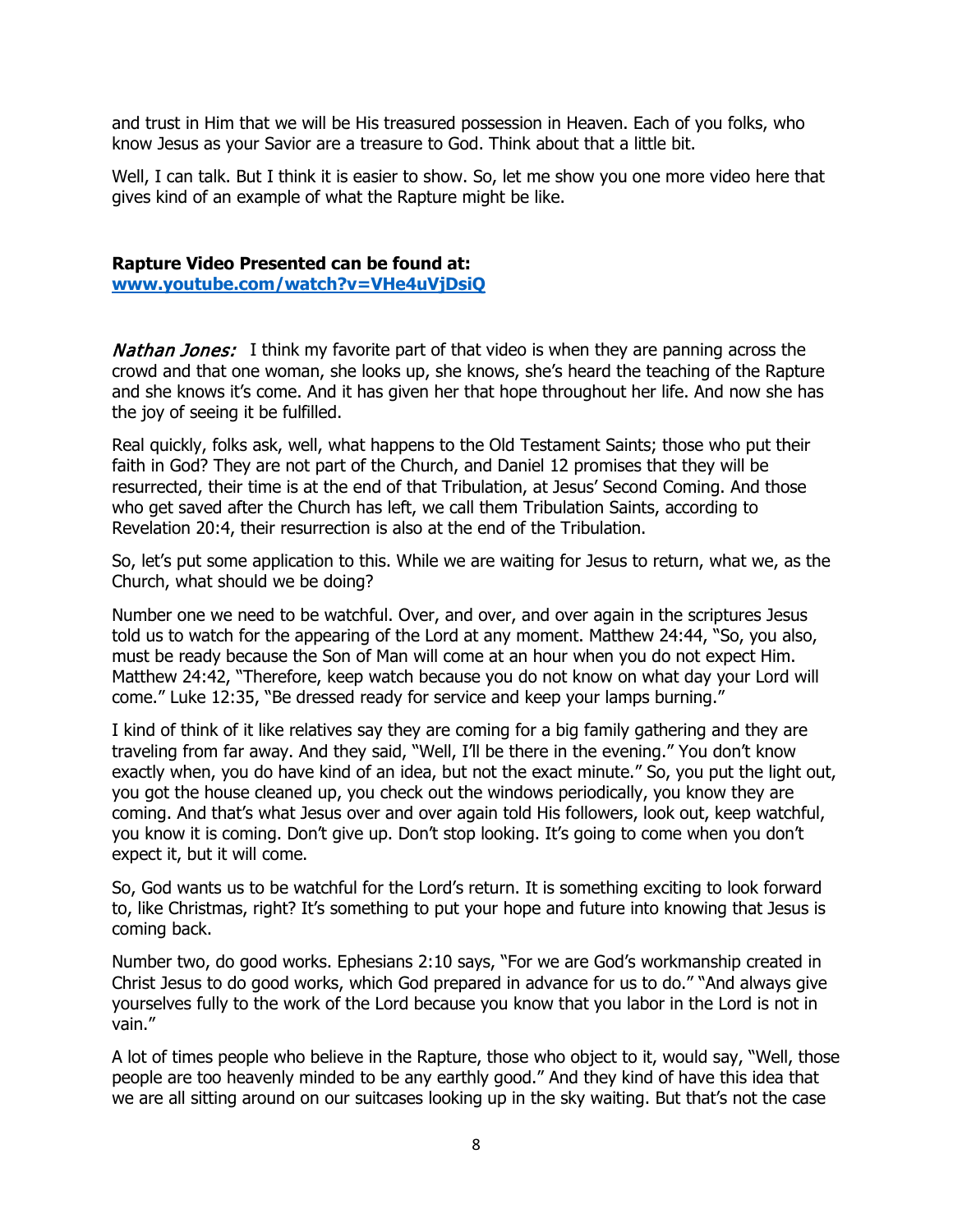and trust in Him that we will be His treasured possession in Heaven. Each of you folks, who know Jesus as your Savior are a treasure to God. Think about that a little bit.

Well, I can talk. But I think it is easier to show. So, let me show you one more video here that gives kind of an example of what the Rapture might be like.

# **Rapture Video Presented can be found at:**

**[www.youtube.com/watch?v=VHe4uVjDsiQ](http://www.youtube.com/watch?v=VHe4uVjDsiQ)**

**Nathan Jones:** I think my favorite part of that video is when they are panning across the crowd and that one woman, she looks up, she knows, she's heard the teaching of the Rapture and she knows it's come. And it has given her that hope throughout her life. And now she has the joy of seeing it be fulfilled.

Real quickly, folks ask, well, what happens to the Old Testament Saints; those who put their faith in God? They are not part of the Church, and Daniel 12 promises that they will be resurrected, their time is at the end of that Tribulation, at Jesus' Second Coming. And those who get saved after the Church has left, we call them Tribulation Saints, according to Revelation 20:4, their resurrection is also at the end of the Tribulation.

So, let's put some application to this. While we are waiting for Jesus to return, what we, as the Church, what should we be doing?

Number one we need to be watchful. Over, and over, and over again in the scriptures Jesus told us to watch for the appearing of the Lord at any moment. Matthew 24:44, "So, you also, must be ready because the Son of Man will come at an hour when you do not expect Him. Matthew 24:42, "Therefore, keep watch because you do not know on what day your Lord will come." Luke 12:35, "Be dressed ready for service and keep your lamps burning."

I kind of think of it like relatives say they are coming for a big family gathering and they are traveling from far away. And they said, "Well, I'll be there in the evening." You don't know exactly when, you do have kind of an idea, but not the exact minute." So, you put the light out, you got the house cleaned up, you check out the windows periodically, you know they are coming. And that's what Jesus over and over again told His followers, look out, keep watchful, you know it is coming. Don't give up. Don't stop looking. It's going to come when you don't expect it, but it will come.

So, God wants us to be watchful for the Lord's return. It is something exciting to look forward to, like Christmas, right? It's something to put your hope and future into knowing that Jesus is coming back.

Number two, do good works. Ephesians 2:10 says, "For we are God's workmanship created in Christ Jesus to do good works, which God prepared in advance for us to do." "And always give yourselves fully to the work of the Lord because you know that you labor in the Lord is not in vain."

A lot of times people who believe in the Rapture, those who object to it, would say, "Well, those people are too heavenly minded to be any earthly good." And they kind of have this idea that we are all sitting around on our suitcases looking up in the sky waiting. But that's not the case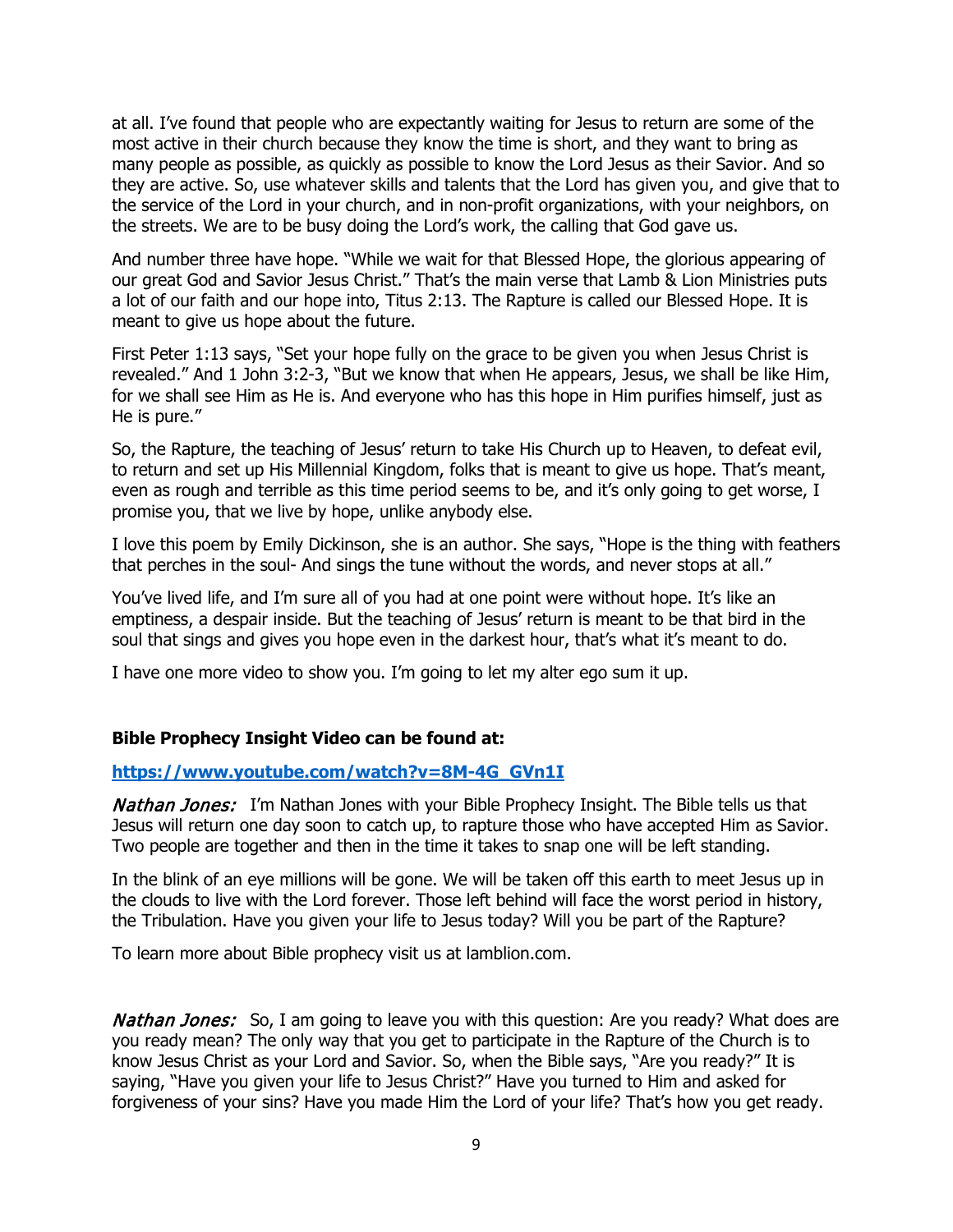at all. I've found that people who are expectantly waiting for Jesus to return are some of the most active in their church because they know the time is short, and they want to bring as many people as possible, as quickly as possible to know the Lord Jesus as their Savior. And so they are active. So, use whatever skills and talents that the Lord has given you, and give that to the service of the Lord in your church, and in non-profit organizations, with your neighbors, on the streets. We are to be busy doing the Lord's work, the calling that God gave us.

And number three have hope. "While we wait for that Blessed Hope, the glorious appearing of our great God and Savior Jesus Christ." That's the main verse that Lamb & Lion Ministries puts a lot of our faith and our hope into, Titus 2:13. The Rapture is called our Blessed Hope. It is meant to give us hope about the future.

First Peter 1:13 says, "Set your hope fully on the grace to be given you when Jesus Christ is revealed." And 1 John 3:2-3, "But we know that when He appears, Jesus, we shall be like Him, for we shall see Him as He is. And everyone who has this hope in Him purifies himself, just as He is pure."

So, the Rapture, the teaching of Jesus' return to take His Church up to Heaven, to defeat evil, to return and set up His Millennial Kingdom, folks that is meant to give us hope. That's meant, even as rough and terrible as this time period seems to be, and it's only going to get worse, I promise you, that we live by hope, unlike anybody else.

I love this poem by Emily Dickinson, she is an author. She says, "Hope is the thing with feathers that perches in the soul- And sings the tune without the words, and never stops at all."

You've lived life, and I'm sure all of you had at one point were without hope. It's like an emptiness, a despair inside. But the teaching of Jesus' return is meant to be that bird in the soul that sings and gives you hope even in the darkest hour, that's what it's meant to do.

I have one more video to show you. I'm going to let my alter ego sum it up.

#### **Bible Prophecy Insight Video can be found at:**

#### **[https://www.youtube.com/watch?v=8M-4G\\_GVn1I](https://www.youtube.com/watch?v=8M-4G_GVn1I)**

**Nathan Jones:** I'm Nathan Jones with your Bible Prophecy Insight. The Bible tells us that Jesus will return one day soon to catch up, to rapture those who have accepted Him as Savior. Two people are together and then in the time it takes to snap one will be left standing.

In the blink of an eye millions will be gone. We will be taken off this earth to meet Jesus up in the clouds to live with the Lord forever. Those left behind will face the worst period in history, the Tribulation. Have you given your life to Jesus today? Will you be part of the Rapture?

To learn more about Bible prophecy visit us at lamblion.com.

**Nathan Jones:** So, I am going to leave you with this question: Are you ready? What does are you ready mean? The only way that you get to participate in the Rapture of the Church is to know Jesus Christ as your Lord and Savior. So, when the Bible says, "Are you ready?" It is saying, "Have you given your life to Jesus Christ?" Have you turned to Him and asked for forgiveness of your sins? Have you made Him the Lord of your life? That's how you get ready.